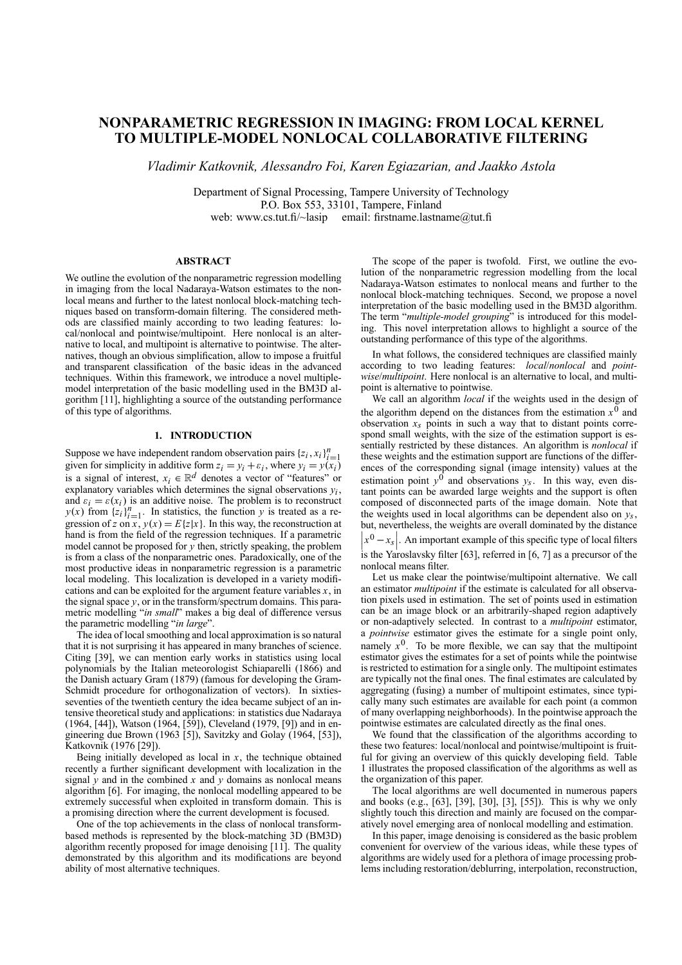# **NONPARAMETRIC REGRESSION IN IMAGING: FROM LOCAL KERNEL TO MULTIPLE-MODEL NONLOCAL COLLABORATIVE FILTERING**

*Vladimir Katkovnik, Alessandro Foi, Karen Egiazarian, and Jaakko Astola*

Department of Signal Processing, Tampere University of Technology P.O. Box 553, 33101, Tampere, Finland web: www.cs.tut.fi/~lasip email: firstname.lastname@tut.fi

## **ABSTRACT**

We outline the evolution of the nonparametric regression modelling in imaging from the local Nadaraya-Watson estimates to the nonlocal means and further to the latest nonlocal block-matching techniques based on transform-domain filtering. The considered methods are classified mainly according to two leading features: local/nonlocal and pointwise/multipoint. Here nonlocal is an alternative to local, and multipoint is alternative to pointwise. The alternatives, though an obvious simplification, allow to impose a fruitful and transparent classification of the basic ideas in the advanced techniques. Within this framework, we introduce a novel multiplemodel interpretation of the basic modelling used in the BM3D algorithm [11], highlighting a source of the outstanding performance of this type of algorithms.

## **1. INTRODUCTION**

Suppose we have independent random observation pairs  $\{z_i, x_i\}_{i=1}^n$ suppose we have independent random observation pairs  $\{z_i, x_i\}_{i=1}^n$ <br>given for simplicity in additive form  $z_i = y_i + \varepsilon_i$ , where  $y_i = y(x_i)$ is a signal of interest,  $x_i \in \mathbb{R}^d$  denotes a vector of "features" or explanatory variables which determines the signal observations  $y_i$ , and  $\varepsilon_i = \varepsilon(x_i)$  is an additive noise. The problem is to reconstruct  $y(x)$  from  ${z_i}_{i=1}^n$ . In statistics, the function *y* is treated as a regression of *z* on *x*,  $y(x) = E{z|x}$ . In this way, the reconstruction at hand is from the field of the regression techniques. If a parametric model cannot be proposed for *y* then, strictly speaking, the problem is from a class of the nonparametric ones. Paradoxically, one of the most productive ideas in nonparametric regression is a parametric local modeling. This localization is developed in a variety modifications and can be exploited for the argument feature variables *x*, in the signal space  $y$ , or in the transform/spectrum domains. This parametric modelling "*in small*" makes a big deal of difference versus the parametric modelling "*in large*"

The idea of local smoothing and local approximation is so natural that it is not surprising it has appeared in many branches of science. Citing [39], we can mention early works in statistics using local polynomials by the Italian meteorologist Schiaparelli (1866) and the Danish actuary Gram (1879) (famous for developing the Gram-Schmidt procedure for orthogonalization of vectors). In sixtiesseventies of the twentieth century the idea became subject of an intensive theoretical study and applications: in statistics due Nadaraya (1964, [44]), Watson (1964, [59]), Cleveland (1979, [9]) and in engineering due Brown (1963 [5]), Savitzky and Golay (1964, [53]), Katkovnik (1976 [29]).

Being initially developed as local in  $x$ , the technique obtained recently a further significant development with localization in the signal  $y$  and in the combined  $x$  and  $y$  domains as nonlocal means algorithm [6]. For imaging, the nonlocal modelling appeared to be extremely successful when exploited in transform domain. This is a promising direction where the current development is focused.

One of the top achievements in the class of nonlocal transformbased methods is represented by the block-matching 3D (BM3D) algorithm recently proposed for image denoising [11]. The quality demonstrated by this algorithm and its modifications are beyond ability of most alternative techniques.

The scope of the paper is twofold. First, we outline the evolution of the nonparametric regression modelling from the local Nadaraya-Watson estimates to nonlocal means and further to the nonlocal block-matching techniques. Second, we propose a novel interpretation of the basic modelling used in the BM3D algorithm. The term "*multiple-model grouping*" is introduced for this modeling. This novel interpretation allows to highlight a source of the outstanding performance of this type of the algorithms.

In what follows, the considered techniques are classified mainly according to two leading features: *local*/*nonlocal* and *pointwise*/*multipoint*. Here nonlocal is an alternative to local, and multipoint is alternative to pointwise.

We call an algorithm *local* if the weights used in the design of the algorithm depend on the distances from the estimation  $x^0$  and observation  $x_s$  points in such a way that to distant points correspond small weights, with the size of the estimation support is essentially restricted by these distances. An algorithm is *nonlocal* if these weights and the estimation support are functions of the differences of the corresponding signal (image intensity) values at the estimation point  $y^0$  and observations  $y_s$ . In this way, even distant points can be awarded large weights and the support is often composed of disconnected parts of the image domain. Note that the weights used in local algorithms can be dependent also on *ys*, but, nevertheless, the weights are overall dominated by the distance  $|x^0 - x_s|$ . An important example of this specific type of local filters is the Yaroslavsky filter [63], referred in [6, 7] as a precursor of the

Let us make clear the pointwise/multipoint alternative. We call an estimator *multipoint* if the estimate is calculated for all observation pixels used in estimation. The set of points used in estimation can be an image block or an arbitrarily-shaped region adaptively or non-adaptively selected. In contrast to a *multipoint* estimator, a *pointwise* estimator gives the estimate for a single point only, namely  $x^0$ . To be more flexible, we can say that the multipoint estimator gives the estimates for a set of points while the pointwise is restricted to estimation for a single only. The multipoint estimates are typically not the final ones. The final estimates are calculated by aggregating (fusing) a number of multipoint estimates, since typically many such estimates are available for each point (a common of many overlapping neighborhoods). In the pointwise approach the pointwise estimates are calculated directly as the final ones.

nonlocal means filter.

We found that the classification of the algorithms according to these two features: local/nonlocal and pointwise/multipoint is fruitful for giving an overview of this quickly developing field. Table 1 illustrates the proposed classification of the algorithms as well as the organization of this paper.

The local algorithms are well documented in numerous papers and books (e.g., [63], [39], [30], [3], [55]). This is why we only slightly touch this direction and mainly are focused on the comparatively novel emerging area of nonlocal modelling and estimation.

In this paper, image denoising is considered as the basic problem convenient for overview of the various ideas, while these types of algorithms are widely used for a plethora of image processing problems including restoration/deblurring, interpolation, reconstruction,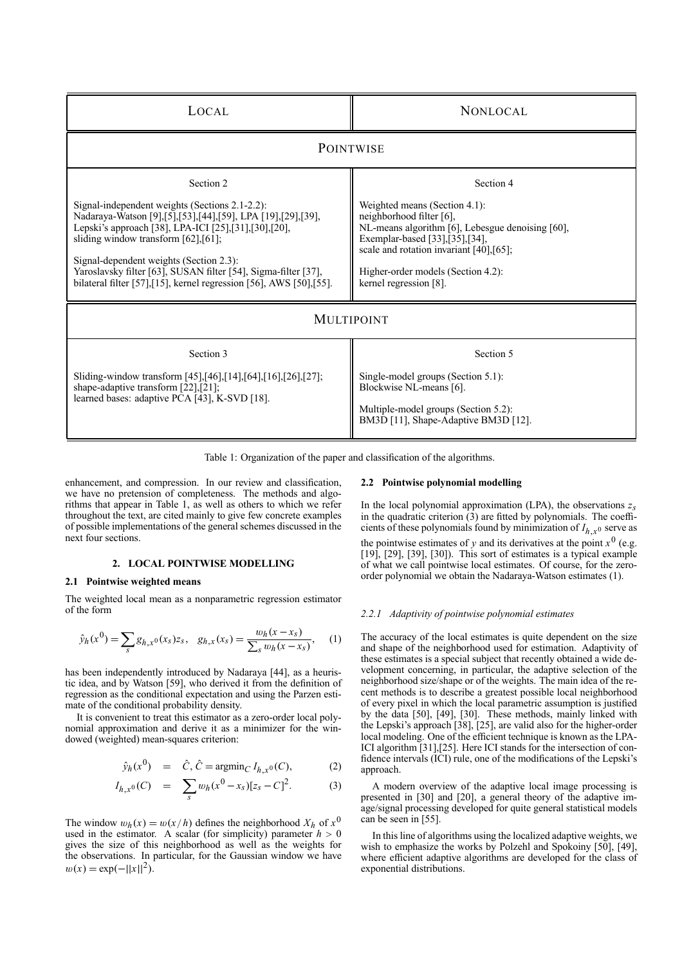| LOCAL                                                                                                                                                                                                                                                                                                                                                                                                                          | <b>NONLOCAL</b>                                                                                                                                                                                                                                                              |
|--------------------------------------------------------------------------------------------------------------------------------------------------------------------------------------------------------------------------------------------------------------------------------------------------------------------------------------------------------------------------------------------------------------------------------|------------------------------------------------------------------------------------------------------------------------------------------------------------------------------------------------------------------------------------------------------------------------------|
| <b>POINTWISE</b>                                                                                                                                                                                                                                                                                                                                                                                                               |                                                                                                                                                                                                                                                                              |
| Section 2<br>Signal-independent weights (Sections 2.1-2.2):<br>Nadaraya-Watson [9], [5], [53], [44], [59], LPA [19], [29], [39],<br>Lepski's approach [38], LPA-ICI [25], [31], [30], [20],<br>sliding window transform $[62]$ , $[61]$ ;<br>Signal-dependent weights (Section 2.3):<br>Yaroslavsky filter [63], SUSAN filter [54], Sigma-filter [37],<br>bilateral filter [57], [15], kernel regression [56], AWS [50], [55]. | Section 4<br>Weighted means (Section 4.1):<br>neighborhood filter [6],<br>NL-means algorithm [6], Lebesgue denoising [60],<br>Exemplar-based [33], [35], [34],<br>scale and rotation invariant $[40],[65]$ ;<br>Higher-order models (Section 4.2):<br>kernel regression [8]. |
| <b>MULTIPOINT</b>                                                                                                                                                                                                                                                                                                                                                                                                              |                                                                                                                                                                                                                                                                              |
| Section 3<br>Sliding-window transform [45], [46], [14], [64], [16], [26], [27];<br>shape-adaptive transform [22], [21];<br>learned bases: adaptive PCA [43], K-SVD [18].                                                                                                                                                                                                                                                       | Section 5<br>Single-model groups (Section 5.1):<br>Blockwise NL-means [6].<br>Multiple-model groups (Section 5.2):<br>BM3D [11], Shape-Adaptive BM3D [12].                                                                                                                   |

Table 1: Organization of the paper and classification of the algorithms.

enhancement, and compression. In our review and classification, we have no pretension of completeness. The methods and algorithms that appear in Table 1, as well as others to which we refer throughout the text, are cited mainly to give few concrete examples of possible implementations of the general schemes discussed in the next four sections.

## **2. LOCAL POINTWISE MODELLING**

## **2.1 Pointwise weighted means**

The weighted local mean as a nonparametric regression estimator of the form

$$
\hat{y}_h(x^0) = \sum_s g_{h,x^0}(x_s) z_s, \quad g_{h,x}(x_s) = \frac{w_h(x - x_s)}{\sum_s w_h(x - x_s)}, \quad (1)
$$

has been independently introduced by Nadaraya [44], as a heuristic idea, and by Watson [59], who derived it from the definition of regression as the conditional expectation and using the Parzen estimate of the conditional probability density.

It is convenient to treat this estimator as a zero-order local polynomial approximation and derive it as a minimizer for the windowed (weighted) mean-squares criterion:

$$
\hat{y}_h(x^0) = \hat{C}, \hat{C} = \operatorname{argmin}_C I_{h,x^0}(C),
$$
\n(2)

$$
I_{h,x^0}(C) = \sum_s w_h(x^0 - x_s)[z_s - C]^2.
$$
 (3)

The window  $w_h(x) = w(x/h)$  defines the neighborhood  $X_h$  of  $x^0$ used in the estimator. A scalar (for simplicity) parameter  $h > 0$ gives the size of this neighborhood as well as the weights for the observations. In particular, for the Gaussian window we have  $w(x) = \exp(-||x||^2)$ .

## **2.2 Pointwise polynomial modelling**

In the local polynomial approximation (LPA), the observations  $z_s$ in the quadratic criterion (3) are fitted by polynomials. The coefficients of these polynomials found by minimization of  $I_{h,x}$ <sup>0</sup> serve as the pointwise estimates of *y* and its derivatives at the point  $x^0$  (e.g. [19], [29], [39], [30]). This sort of estimates is a typical example of what we call pointwise local estimates. Of course, for the zeroorder polynomial we obtain the Nadaraya-Watson estimates (1).

#### *2.2.1 Adaptivity of pointwise polynomial estimates*

The accuracy of the local estimates is quite dependent on the size and shape of the neighborhood used for estimation. Adaptivity of these estimates is a special subject that recently obtained a wide development concerning, in particular, the adaptive selection of the neighborhood size/shape or of the weights. The main idea of the recent methods is to describe a greatest possible local neighborhood of every pixel in which the local parametric assumption is justified by the data [50], [49], [30]. These methods, mainly linked with the Lepski's approach [38], [25], are valid also for the higher-order local modeling. One of the efficient technique is known as the LPA-ICI algorithm [31],[25]. Here ICI stands for the intersection of confidence intervals (ICI) rule, one of the modifications of the Lepski's approach.

A modern overview of the adaptive local image processing is presented in [30] and [20], a general theory of the adaptive image/signal processing developed for quite general statistical models can be seen in [55].

In this line of algorithms using the localized adaptive weights, we wish to emphasize the works by Polzehl and Spokoiny [50], [49], where efficient adaptive algorithms are developed for the class of exponential distributions.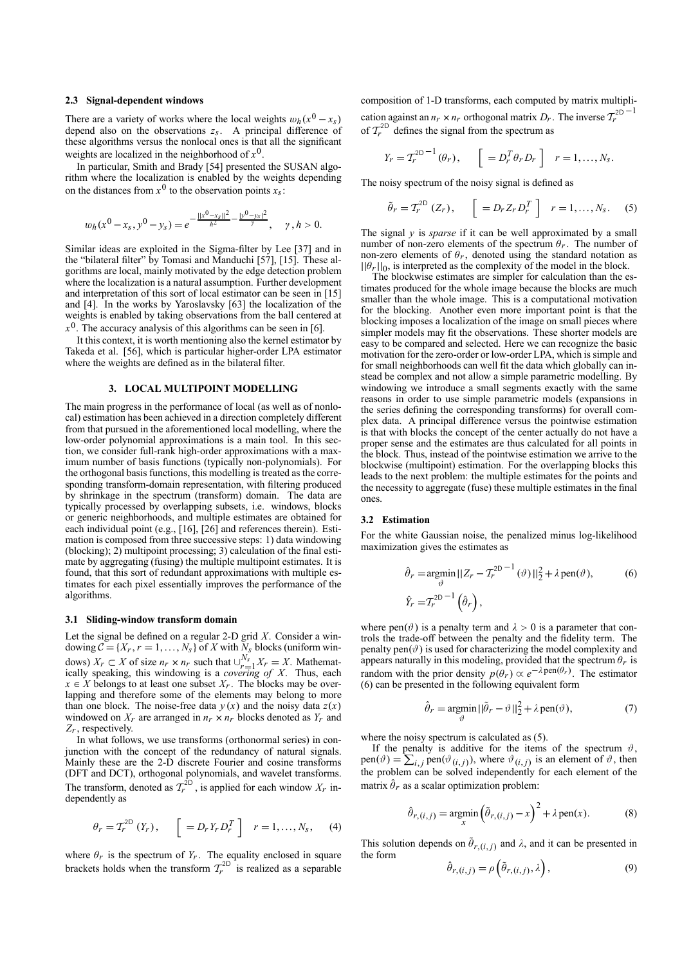### **2.3 Signal-dependent windows**

There are a variety of works where the local weights  $w_h(x^0 - x_s)$ depend also on the observations *zs*. A principal difference of these algorithms versus the nonlocal ones is that all the significant weights are localized in the neighborhood of  $x^0$ .

In particular, Smith and Brady [54] presented the SUSAN algorithm where the localization is enabled by the weights depending on the distances from  $x^0$  to the observation points  $x_s$ .

$$
w_h(x^0 - x_s, y^0 - y_s) = e^{-\frac{||x^0 - x_s||^2}{h^2} - \frac{|y^0 - y_s|^2}{\gamma}}, \quad \gamma, h > 0.
$$

Similar ideas are exploited in the Sigma-filter by Lee [37] and in the "bilateral filter" by Tomasi and Manduchi  $[57]$ ,  $[15]$ . These algorithms are local, mainly motivated by the edge detection problem where the localization is a natural assumption. Further development and interpretation of this sort of local estimator can be seen in [15] and [4]. In the works by Yaroslavsky [63] the localization of the weights is enabled by taking observations from the ball centered at  $x<sup>0</sup>$ . The accuracy analysis of this algorithms can be seen in [6].

It this context, it is worth mentioning also the kernel estimator by Takeda et al. [56], which is particular higher-order LPA estimator where the weights are defined as in the bilateral filter.

### **3. LOCAL MULTIPOINT MODELLING**

The main progress in the performance of local (as well as of nonlocal) estimation has been achieved in a direction completely different from that pursued in the aforementioned local modelling, where the low-order polynomial approximations is a main tool. In this section, we consider full-rank high-order approximations with a maximum number of basis functions (typically non-polynomials). For the orthogonal basis functions, this modelling is treated as the corresponding transform-domain representation, with filtering produced by shrinkage in the spectrum (transform) domain. The data are typically processed by overlapping subsets, i.e. windows, blocks or generic neighborhoods, and multiple estimates are obtained for each individual point (e.g., [16], [26] and references therein). Estimation is composed from three successive steps: 1) data windowing (blocking); 2) multipoint processing; 3) calculation of the final estimate by aggregating (fusing) the multiple multipoint estimates. It is found, that this sort of redundant approximations with multiple estimates for each pixel essentially improves the performance of the algorithms.

#### **3.1 Sliding-window transform domain**

Let the signal be defined on a regular 2-D grid *X*. Consider a windowing  $C = \{X_r, r = 1, ..., N_s\}$  of *X* with  $\frac{N}{N}$  blocks (uniform windows)  $X_r \subset X$  of size  $n_r \times n_r$  such that  $\bigcup_{r=1}^{N_s} X_r = X$ . Mathematically speaking, this windowing is a *covering of X*. Thus, each  $x \in X$  belongs to at least one subset  $X_r$ . The blocks may be overlapping and therefore some of the elements may belong to more than one block. The noise-free data  $y(x)$  and the noisy data  $z(x)$ windowed on  $X_r$  are arranged in  $n_r \times n_r$  blocks denoted as  $Y_r$  and *Zr*, respectively.

In what follows, we use transforms (orthonormal series) in conjunction with the concept of the redundancy of natural signals. Mainly these are the 2-D discrete Fourier and cosine transforms (DFT and DCT), orthogonal polynomials, and wavelet transforms. The transform, denoted as  $T_r^{2D}$ , is applied for each window  $X_r$  independently as

$$
\theta_r = T_r^{2D} (Y_r), \quad \left[ \begin{array}{c} = D_r Y_r D_r^T \end{array} \right] \quad r = 1, \ldots, N_s, \quad (4)
$$

where  $\theta_r$  is the spectrum of  $Y_r$ . The equality enclosed in square brackets holds when the transform  $T_r^{2D}$  is realized as a separable composition of 1-D transforms, each computed by matrix multiplication against an  $n_r \times n_r$  orthogonal matrix  $D_r$ . The inverse  $T_r^{2D-1}$ of  $T_r^{2D}$  defines the signal from the spectrum as

$$
Y_r = T_r^{2D-1}(\theta_r), \quad \left[ = D_r^T \theta_r D_r \right] \quad r = 1, \dots, N_S.
$$

The noisy spectrum of the noisy signal is defined as

$$
\tilde{\theta}_r = T_r^{2D} (Z_r), \quad \left[ = D_r Z_r D_r^T \right] \quad r = 1, \dots, N_s. \quad (5)
$$

The signal *y* is *sparse* if it can be well approximated by a small number of non-zero elements of the spectrum  $\theta_r$ . The number of non-zero elements of  $\theta_r$ , denoted using the standard notation as  $||\theta_r||_0$ , is interpreted as the complexity of the model in the block.

The blockwise estimates are simpler for calculation than the estimates produced for the whole image because the blocks are much smaller than the whole image. This is a computational motivation for the blocking. Another even more important point is that the blocking imposes a localization of the image on small pieces where simpler models may fit the observations. These shorter models are easy to be compared and selected. Here we can recognize the basic motivation for the zero-order or low-order LPA, which is simple and for small neighborhoods can well fit the data which globally can instead be complex and not allow a simple parametric modelling. By windowing we introduce a small segments exactly with the same reasons in order to use simple parametric models (expansions in the series defining the corresponding transforms) for overall complex data. A principal difference versus the pointwise estimation is that with blocks the concept of the center actually do not have a proper sense and the estimates are thus calculated for all points in the block. Thus, instead of the pointwise estimation we arrive to the blockwise (multipoint) estimation. For the overlapping blocks this leads to the next problem: the multiple estimates for the points and the necessity to aggregate (fuse) these multiple estimates in the final ones.

## **3.2 Estimation**

For the white Gaussian noise, the penalized minus log-likelihood maximization gives the estimates as

$$
\hat{\theta}_r = \underset{\vartheta}{\operatorname{argmin}} ||Z_r - T_r^{2D-1}(\vartheta) ||_2^2 + \lambda \operatorname{pen}(\vartheta),
$$
\n
$$
\hat{Y}_r = T_r^{2D-1}(\hat{\theta}_r),
$$
\n(6)

where pen( $\vartheta$ ) is a penalty term and  $\lambda > 0$  is a parameter that controls the trade-off between the penalty and the fidelity term. The penalty pen $(\vartheta)$  is used for characterizing the model complexity and appears naturally in this modeling, provided that the spectrum  $\theta_r$  is random with the prior density  $p(\theta_r) \propto e^{-\lambda \text{pen}(\theta_r)}$ . The estimator (6) can be presented in the following equivalent form

$$
\hat{\theta}_r = \underset{\vartheta}{\text{argmin}} \, ||\tilde{\theta}_r - \vartheta||_2^2 + \lambda \operatorname{pen}(\vartheta),\tag{7}
$$

where the noisy spectrum is calculated as (5).

If the penalty is additive for the items of the spectrum  $\vartheta$ , pen( $\vartheta$ ) =  $\sum_{i,j}$  pen( $\vartheta$ <sub>(*i*,*j*)</sub>), where  $\vartheta$ <sub>(*i*,*j*) is an element of  $\vartheta$ , then</sub> the problem can be solved independently for each element of the matrix  $\hat{\theta}_r$  as a scalar optimization problem:

$$
\hat{\theta}_{r,(i,j)} = \underset{x}{\text{argmin}} \left( \tilde{\theta}_{r,(i,j)} - x \right)^2 + \lambda \operatorname{pen}(x). \tag{8}
$$

This solution depends on  $\tilde{\theta}_{r,(i,j)}$  and  $\lambda$ , and it can be presented in the form

$$
\hat{\partial}_{r,(i,j)} = \rho\left(\tilde{\partial}_{r,(i,j)},\lambda\right),\tag{9}
$$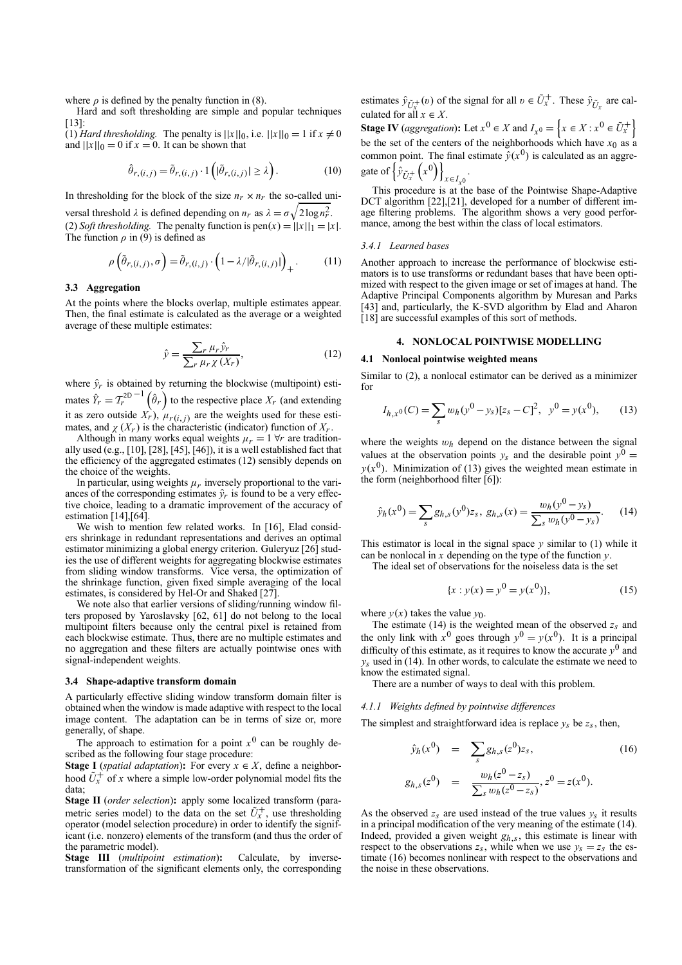where  $\rho$  is defined by the penalty function in (8).

Hard and soft thresholding are simple and popular techniques [13]:

 $(1)$  *Hard thresholding.* The penalty is  $||x||_0$ , i.e.  $||x||_0 = 1$  if  $x \neq 0$ and  $||x||_0 = 0$  if  $x = 0$ . It can be shown that

$$
\hat{\theta}_{r,(i,j)} = \tilde{\theta}_{r,(i,j)} \cdot 1\left(|\tilde{\theta}_{r,(i,j)}| \ge \lambda\right). \tag{10}
$$

In thresholding for the block of the size  $n_r \times n_r$  the so-called uni-

versal threshold  $\lambda$  is defined depending on  $n_r$  as  $\lambda = \sigma \sqrt{2 \log n_r^2}$ . (2) *Soft thresholding.* The penalty function is  $pen(x) = ||x||_1 = |x|$ . The function  $\rho$  in (9) is defined as

$$
\rho\left(\tilde{\theta}_{r,(i,j)},\sigma\right) = \tilde{\theta}_{r,(i,j)} \cdot \left(1 - \lambda/|\tilde{\theta}_{r,(i,j)}|\right)_{+}.\tag{11}
$$

#### **3.3 Aggregation**

At the points where the blocks overlap, multiple estimates appear. Then, the final estimate is calculated as the average or a weighted average of these multiple estimates:

$$
\hat{y} = \frac{\sum_{r} \mu_r \hat{y}_r}{\sum_{r} \mu_r \chi(X_r)},\tag{12}
$$

where  $\hat{y}_r$  is obtained by returning the blockwise (multipoint) estimates  $\hat{Y}_r = T_r^{2D-1}(\hat{\theta}_r)$  to the respective place  $X_r$  (and extending it as zero outside  $X_r$ ),  $\mu_{r(i,j)}$  are the weights used for these estimates, and  $\chi(X_r)$  is the characteristic (indicator) function of  $X_r$ .

Although in many works equal weights  $\mu_r = 1 \forall r$  are traditionally used (e.g., [10], [28], [45], [46]), it is a well established fact that the efficiency of the aggregated estimates (12) sensibly depends on the choice of the weights.

In particular, using weights  $\mu_r$  inversely proportional to the variances of the corresponding estimates  $\hat{y}_r$  is found to be a very effective choice, leading to a dramatic improvement of the accuracy of estimation [14], [64].

We wish to mention few related works. In [16], Elad considers shrinkage in redundant representations and derives an optimal estimator minimizing a global energy criterion. Guleryuz [26] studies the use of different weights for aggregating blockwise estimates from sliding window transforms. Vice versa, the optimization of the shrinkage function, given fixed simple averaging of the local estimates, is considered by Hel-Or and Shaked [27].

We note also that earlier versions of sliding/running window filters proposed by Yaroslavsky [62, 61] do not belong to the local multipoint filters because only the central pixel is retained from each blockwise estimate. Thus, there are no multiple estimates and no aggregation and these filters are actually pointwise ones with signal-independent weights.

## **3.4 Shape-adaptive transform domain**

A particularly effective sliding window transform domain filter is obtained when the window is made adaptive with respect to the local image content. The adaptation can be in terms of size or, more generally, of shape.

The approach to estimation for a point  $x^0$  can be roughly described as the following four stage procedure:

**Stage I** (*spatial adaptation*): For every  $x \in X$ , define a neighborhood  $U^+$  of *x* where a simple low-order polynomial model fits the data;

**Stage II** (*order selection*)**:** apply some localized transform (parametric series model) to the data on the set  $U_x^+$ , use thresholding operator (model selection procedure) in order to identify the significant (i.e. nonzero) elements of the transform (and thus the order of the parametric model).

**Stage III** (*multipoint estimation*)**:** Calculate, by inversetransformation of the significant elements only, the corresponding

estimates  $\hat{y}_{\tilde{U}^+_X}(v)$  of the signal for all  $v \in \tilde{U}^+_x$ . These  $\hat{y}_{\tilde{U}^x}$  are calculated for all  $x \in X$ .

**Stage IV** (*aggregation*): Let  $x^0 \in X$  and  $I_{x^0} = \left\{ x \in X : x^0 \in \tilde{U}_x^+ \right\}$ be the set of the centers of the neighborhoods which have  $x_0$  as a common point. The final estimate  $\hat{v}(x^0)$  is calculated as an aggregate of  $\left\{ \hat{\hat{y}}_{\tilde{U}_{x}^{+}} \right\}$  $(x^0)$ <sub> $x \in I_{x^0}$ </sub> .

This procedure is at the base of the Pointwise Shape-Adaptive DCT algorithm [22],[21], developed for a number of different image filtering problems. The algorithm shows a very good performance, among the best within the class of local estimators.

#### *3.4.1 Learned bases*

Another approach to increase the performance of blockwise estimators is to use transforms or redundant bases that have been optimized with respect to the given image or set of images at hand. The Adaptive Principal Components algorithm by Muresan and Parks [43] and, particularly, the K-SVD algorithm by Elad and Aharon [18] are successful examples of this sort of methods.

## **4. NONLOCAL POINTWISE MODELLING**

## **4.1 Nonlocal pointwise weighted means**

Similar to (2), a nonlocal estimator can be derived as a minimizer for

$$
I_{h,x^{0}}(C) = \sum_{s} w_{h}(y^{0} - y_{s})[z_{s} - C]^{2}, \quad y^{0} = y(x^{0}), \tag{13}
$$

where the weights  $w_h$  depend on the distance between the signal values at the observation points  $y_s$  and the desirable point  $y<sup>0</sup>$  =  $y(x^0)$ . Minimization of (13) gives the weighted mean estimate in the form (neighborhood filter [6]):

$$
\hat{y}_h(x^0) = \sum_s g_{h,s}(y^0) z_s, \ g_{h,s}(x) = \frac{w_h(y^0 - y_s)}{\sum_s w_h(y^0 - y_s)}.
$$
 (14)

This estimator is local in the signal space  $\nu$  similar to (1) while it can be nonlocal in *x* depending on the type of the function *y*.

The ideal set of observations for the noiseless data is the set

$$
\{x : y(x) = y^0 = y(x^0)\},\tag{15}
$$

where  $y(x)$  takes the value  $y_0$ .

The estimate (14) is the weighted mean of the observed *zs* and the only link with  $x^0$  goes through  $y^0 = y(x^0)$ . It is a principal difficulty of this estimate, as it requires to know the accurate  $y^0$  and  $y_s$  used in (14). In other words, to calculate the estimate we need to know the estimated signal.

There are a number of ways to deal with this problem.

## *4.1.1 Weights defined by pointwise differences*

The simplest and straightforward idea is replace  $y_s$  be  $z_s$ , then,

$$
\hat{y}_h(x^0) = \sum_s g_{h,s}(z^0) z_s,
$$
\n
$$
g_{h,s}(z^0) = \frac{w_h(z^0 - z_s)}{\sum_s w_h(z^0 - z_s)}, z^0 = z(x^0).
$$
\n(16)

As the observed  $z_s$  are used instead of the true values  $y_s$  it results in a principal modification of the very meaning of the estimate (14). Indeed, provided a given weight *gh*,*s*, this estimate is linear with respect to the observations  $z_s$ , while when we use  $y_s = z_s$  the estimate (16) becomes nonlinear with respect to the observations and the noise in these observations.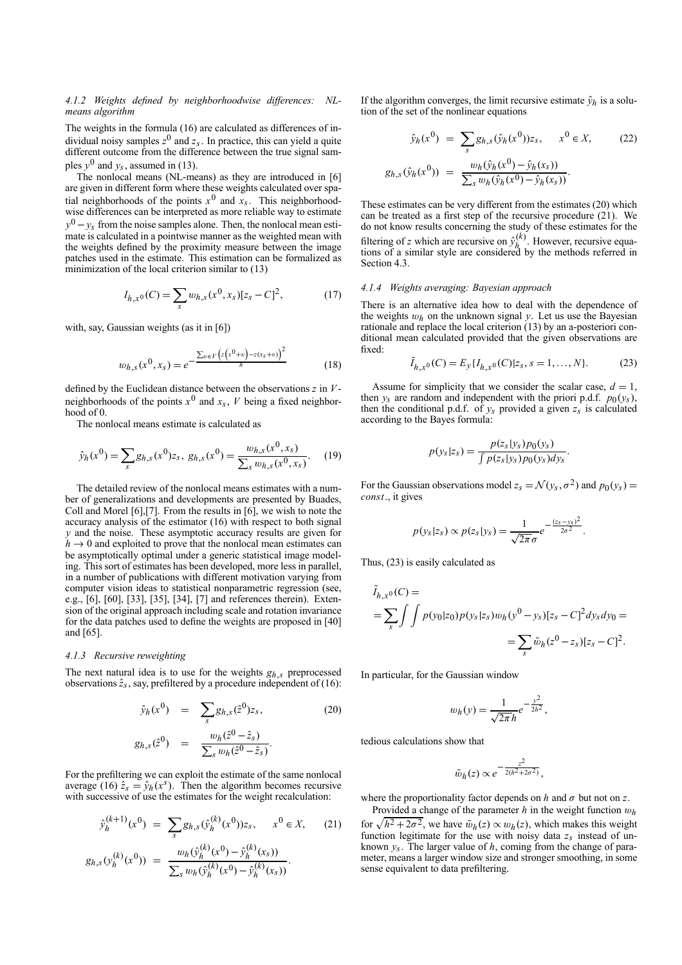## *4.1.2 Weights defined by neighborhoodwise differences: NLmeans algorithm*

The weights in the formula (16) are calculated as differences of individual noisy samples  $z^0$  and  $z_s$ . In practice, this can yield a quite different outcome from the difference between the true signal samples  $y^0$  and  $y_s$ , assumed in (13).

The nonlocal means (NL-means) as they are introduced in [6] are given in different form where these weights calculated over spatial neighborhoods of the points  $x^0$  and  $x_s$ . This neighborhoodwise differences can be interpreted as more reliable way to estimate  $y<sup>0</sup> - y<sub>s</sub>$  from the noise samples alone. Then, the nonlocal mean estimate is calculated in a pointwise manner as the weighted mean with the weights defined by the proximity measure between the image patches used in the estimate. This estimation can be formalized as minimization of the local criterion similar to (13)

$$
I_{h,x^0}(C) = \sum_s w_{h,s}(x^0, x_s)[z_s - C]^2,
$$
 (17)

with, say, Gaussian weights (as it in [6])

$$
w_{h,s}(x^0, x_s) = e^{-\frac{\sum_{v \in V} (z(x^0 + v) - z(x_s + v))^2}{h}}
$$
(18)

defined by the Euclidean distance between the observations *z* in *V*neighborhoods of the points  $x^0$  and  $x_s$ , *V* being a fixed neighbor $hood$  of  $0$ .

The nonlocal means estimate is calculated as

$$
\hat{y}_h(x^0) = \sum_s g_{h,s}(x^0) z_s, \ g_{h,s}(x^0) = \frac{w_{h,s}(x^0, x_s)}{\sum_s w_{h,s}(x^0, x_s)}.
$$
 (19)

The detailed review of the nonlocal means estimates with a number of generalizations and developments are presented by Buades, Coll and Morel [6],[7]. From the results in [6], we wish to note the accuracy analysis of the estimator (16) with respect to both signal *y* and the noise. These asymptotic accuracy results are given for  $h \to 0$  and exploited to prove that the nonlocal mean estimates can be asymptotically optimal under a generic statistical image modeling. This sort of estimates has been developed, more less in parallel, in a number of publications with different motivation varying from computer vision ideas to statistical nonparametric regression (see, e.g., [6], [60], [33], [35], [34], [7] and references therein). Extension of the original approach including scale and rotation invariance for the data patches used to define the weights are proposed in [40] and [65].

#### *4.1.3 Recursive reweighting*

The next natural idea is to use for the weights *gh*,*s* preprocessed observations  $\hat{z}_s$ , say, prefiltered by a procedure independent of (16):

$$
\hat{y}_h(x^0) = \sum_{s} g_{h,s}(\hat{z}^0) z_s,
$$
\n
$$
g_{h,s}(\hat{z}^0) = \frac{w_h(\hat{z}^0 - \hat{z}_s)}{\sum_{s} w_h(\hat{z}^0 - \hat{z}_s)}.
$$
\n(20)

For the prefiltering we can exploit the estimate of the same nonlocal average (16)  $\hat{z}_s = \hat{y}_h(x^s)$ . Then the algorithm becomes recursive with successive of use the estimates for the weight recalculation:

$$
\hat{y}_h^{(k+1)}(x^0) = \sum_s g_{h,s}(\hat{y}_h^{(k)}(x^0))z_s, \quad x^0 \in X,
$$
\n
$$
g_{h,s}(y_h^{(k)}(x^0)) = \frac{w_h(\hat{y}_h^{(k)}(x^0) - \hat{y}_h^{(k)}(x_s))}{\sum_s w_h(\hat{y}_h^{(k)}(x^0) - \hat{y}_h^{(k)}(x_s))}.
$$
\n(21)

If the algorithm converges, the limit recursive estimate  $\hat{y}_h$  is a solution of the set of the nonlinear equations

$$
\hat{y}_h(x^0) = \sum_s g_{h,s}(\hat{y}_h(x^0))z_s, \quad x^0 \in X,
$$
\n
$$
g_{h,s}(\hat{y}_h(x^0)) = \frac{w_h(\hat{y}_h(x^0) - \hat{y}_h(x_s))}{\sum_s w_h(\hat{y}_h(x^0) - \hat{y}_h(x_s))}.
$$
\n(22)

These estimates can be very different from the estimates (20) which can be treated as a first step of the recursive procedure (21). We do not know results concerning the study of these estimates for the filtering of *z* which are recursive on  $\hat{y}_h^{(k)}$ . However, recursive equations of a similar style are considered by the methods referred in Section 4.3.

#### *4.1.4 Weights averaging: Bayesian approach*

There is an alternative idea how to deal with the dependence of the weights  $w_h$  on the unknown signal  $y$ . Let us use the Bayesian rationale and replace the local criterion (13) by an a-posteriori conditional mean calculated provided that the given observations are fixed:

$$
\tilde{I}_{h,x^0}(C) = E_y\{I_{h,x^0}(C)|z_s, s = 1, ..., N\}.
$$
 (23)

Assume for simplicity that we consider the scalar case,  $d = 1$ , then  $y_s$  are random and independent with the priori p.d.f.  $p_0(y_s)$ , then the conditional p.d.f. of  $y_s$  provided a given  $z_s$  is calculated according to the Bayes formula:

$$
p(y_s|z_s) = \frac{p(z_s|y_s)p_0(y_s)}{\int p(z_s|y_s)p_0(y_s)dy_s}.
$$

For the Gaussian observations model  $z_s = \mathcal{N}(y_s, \sigma^2)$  and  $p_0(y_s) =$ *const*., it gives

$$
p(y_s|z_s) \propto p(z_s|y_s) = \frac{1}{\sqrt{2\pi}\,\sigma}e^{-\frac{(z_s-y_s)^2}{2\sigma^2}}.
$$

Thus, (23) is easily calculated as

$$
\tilde{I}_{h,x^0}(C) =
$$
\n
$$
= \sum_{s} \int \int p(y_0|z_0) p(y_s|z_s) w_h(y^0 - y_s) [z_s - C]^2 dy_s dy_0 =
$$
\n
$$
= \sum_{s} \tilde{w}_h (z^0 - z_s) [z_s - C]^2.
$$

In particular, for the Gaussian window

$$
w_h(y) = \frac{1}{\sqrt{2\pi}h}e^{-\frac{y^2}{2h^2}},
$$

tedious calculations show that

$$
\tilde{w}_h(z) \propto e^{-\frac{z^2}{2(h^2 + 2\sigma^2)}},
$$

where the proportionality factor depends on  $h$  and  $\sigma$  but not on  $z$ .

Provided a change of the parameter *h* in the weight function w*h* for  $\sqrt{h^2 + 2\sigma^2}$ , we have  $\tilde{w}_h(z) \propto w_h(z)$ , which makes this weight function legitimate for the use with noisy data  $z_s$  instead of unknown  $y_s$ . The larger value of *h*, coming from the change of parameter, means a larger window size and stronger smoothing, in some sense equivalent to data prefiltering.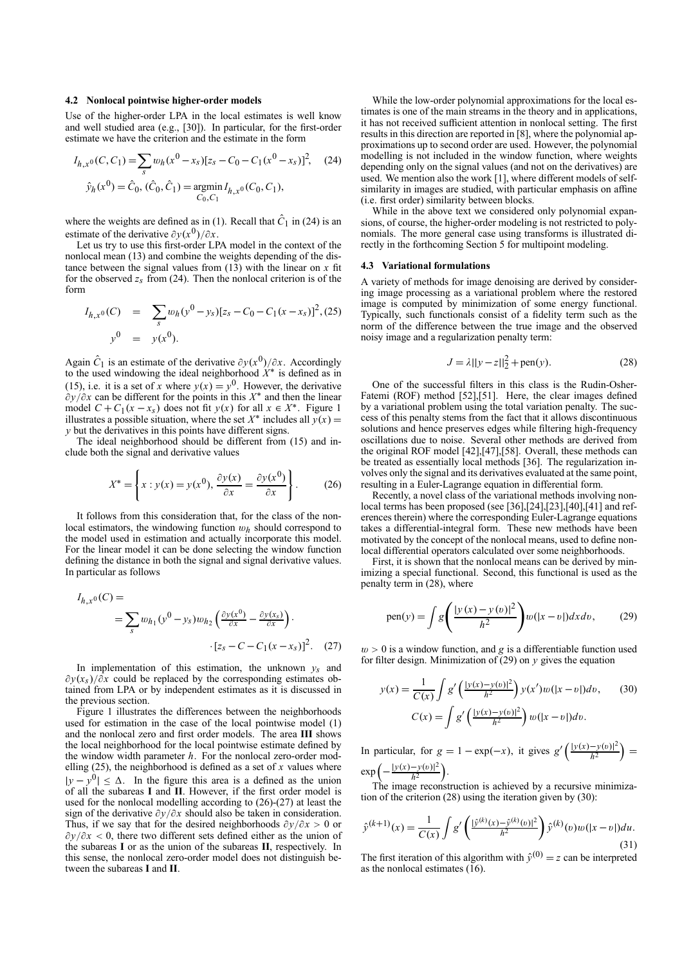#### **4.2 Nonlocal pointwise higher-order models**

Use of the higher-order LPA in the local estimates is well know and well studied area (e.g., [30]). In particular, for the first-order estimate we have the criterion and the estimate in the form

$$
I_{h,x^{0}}(C, C_{1}) = \sum_{s} w_{h}(x^{0} - x_{s}) [z_{s} - C_{0} - C_{1}(x^{0} - x_{s})]^{2}, \quad (24)
$$

$$
\hat{y}_{h}(x^{0}) = \hat{C}_{0}, \ (\hat{C}_{0}, \hat{C}_{1}) = \underset{C_{0}, C_{1}}{\operatorname{argmin}} I_{h,x^{0}}(C_{0}, C_{1}),
$$

where the weights are defined as in (1). Recall that  $\hat{C}_1$  in (24) is an estimate of the derivative  $\partial y(x^0)/\partial x$ .

Let us try to use this first-order LPA model in the context of the nonlocal mean (13) and combine the weights depending of the distance between the signal values from  $(13)$  with the linear on *x* fit for the observed  $z_s$  from (24). Then the nonlocal criterion is of the form

$$
I_{h,x^{0}}(C) = \sum_{s} w_{h}(y^{0} - y_{s})[z_{s} - C_{0} - C_{1}(x - x_{s})]^{2}, (25)
$$
  

$$
y^{0} = y(x^{0}).
$$

Again  $\hat{C}_1$  is an estimate of the derivative  $\partial y(x^0)/\partial x$ . Accordingly to the used windowing the ideal neighborhood *X*∗ is defined as in (15), i.e. it is a set of *x* where  $y(x) = y<sup>0</sup>$ . However, the derivative ∂*y*/∂*x* can be different for the points in this *X*∗ and then the linear model  $C + C_1(x - x_s)$  does not fit  $y(x)$  for all  $x \in X^*$ . Figure 1 illustrates a possible situation, where the set  $X^*$  includes all  $y(x) =$ *y* but the derivatives in this points have different signs.

The ideal neighborhood should be different from (15) and include both the signal and derivative values

$$
X^* = \left\{ x : y(x) = y(x^0), \frac{\partial y(x)}{\partial x} = \frac{\partial y(x^0)}{\partial x} \right\}.
$$
 (26)

It follows from this consideration that, for the class of the nonlocal estimators, the windowing function w*h* should correspond to the model used in estimation and actually incorporate this model. For the linear model it can be done selecting the window function defining the distance in both the signal and signal derivative values. In particular as follows

$$
I_{h,x^0}(C) =
$$
  
= 
$$
\sum_{s} w_{h_1}(y^0 - y_s)w_{h_2}\left(\frac{\partial y(x^0)}{\partial x} - \frac{\partial y(x_s)}{\partial x}\right) \cdot \left[z_s - C - C_1(x - x_s)\right]^2.
$$
 (27)

In implementation of this estimation, the unknown  $y_s$  and ∂*y*(*xs*)/∂*x* could be replaced by the corresponding estimates obtained from LPA or by independent estimates as it is discussed in the previous section.

Figure 1 illustrates the differences between the neighborhoods used for estimation in the case of the local pointwise model (1) and the nonlocal zero and first order models. The area **III** shows the local neighborhood for the local pointwise estimate defined by the window width parameter *h*. For the nonlocal zero-order modelling (25), the neighborhood is defined as a set of *x* values where  $|y - y^0| \leq \Delta$ . In the figure this area is a defined as the union of all the subareas **I** and **II**. However, if the first order model is used for the nonlocal modelling according to (26)-(27) at least the sign of the derivative ∂*y*/∂*x* should also be taken in consideration. Thus, if we say that for the desired neighborhoods ∂*y*/∂*x* > 0 or ∂*y*/∂*x* < 0, there two different sets defined either as the union of the subareas **I** or as the union of the subareas **II**, respectively. In this sense, the nonlocal zero-order model does not distinguish between the subareas **I** and **II**.

While the low-order polynomial approximations for the local estimates is one of the main streams in the theory and in applications, it has not received sufficient attention in nonlocal setting. The first results in this direction are reported in [8], where the polynomial approximations up to second order are used. However, the polynomial modelling is not included in the window function, where weights depending only on the signal values (and not on the derivatives) are used. We mention also the work [1], where different models of selfsimilarity in images are studied, with particular emphasis on affine (i.e. first order) similarity between blocks.

While in the above text we considered only polynomial expansions, of course, the higher-order modeling is not restricted to polynomials. The more general case using transforms is illustrated directly in the forthcoming Section 5 for multipoint modeling.

#### **4.3 Variational formulations**

A variety of methods for image denoising are derived by considering image processing as a variational problem where the restored image is computed by minimization of some energy functional. Typically, such functionals consist of a fidelity term such as the norm of the difference between the true image and the observed noisy image and a regularization penalty term:

$$
J = \lambda ||y - z||_2^2 + \text{pen}(y). \tag{28}
$$

One of the successful filters in this class is the Rudin-Osher-Fatemi (ROF) method [52],[51]. Here, the clear images defined by a variational problem using the total variation penalty. The success of this penalty stems from the fact that it allows discontinuous solutions and hence preserves edges while filtering high-frequency oscillations due to noise. Several other methods are derived from the original ROF model [42],[47],[58]. Overall, these methods can be treated as essentially local methods [36]. The regularization involves only the signal and its derivatives evaluated at the same point, resulting in a Euler-Lagrange equation in differential form.

Recently, a novel class of the variational methods involving nonlocal terms has been proposed (see [36],[24],[23],[40],[41] and references therein) where the corresponding Euler-Lagrange equations takes a differential-integral form. These new methods have been motivated by the concept of the nonlocal means, used to define nonlocal differential operators calculated over some neighborhoods.

First, it is shown that the nonlocal means can be derived by minimizing a special functional. Second, this functional is used as the penalty term in (28), where

pen(y) = 
$$
\int g \left( \frac{|y(x) - y(v)|^2}{h^2} \right) w(|x - v|) dx dv,
$$
 (29)

 $w > 0$  is a window function, and *g* is a differentiable function used for filter design. Minimization of  $(29)$  on  $\nu$  gives the equation

$$
y(x) = \frac{1}{C(x)} \int g' \left( \frac{|y(x) - y(v)|^2}{h^2} \right) y(x') w(|x - v|) dv, \qquad (30)
$$

$$
C(x) = \int g' \left( \frac{|y(x) - y(v)|^2}{h^2} \right) w(|x - v|) dv.
$$

In particular, for  $g = 1 - \exp(-x)$ , it gives  $g'(\frac{|y(x)-y(v)|^2}{h^2})$  $\frac{-y(v)|^2}{h^2}$ ) =  $\exp\left(-\frac{|y(x)-y(v)|^2}{h^2}\right)$  $\frac{-y(v)|^2}{h^2}$ .

The image reconstruction is achieved by a recursive minimization of the criterion (28) using the iteration given by (30):

$$
\hat{y}^{(k+1)}(x) = \frac{1}{C(x)} \int g' \left( \frac{|\hat{y}^{(k)}(x) - \hat{y}^{(k)}(v)|^2}{h^2} \right) \hat{y}^{(k)}(v) w(|x - v|) du.
$$
\n(31)

The first iteration of this algorithm with  $\hat{y}^{(0)} = z$  can be interpreted as the nonlocal estimates (16).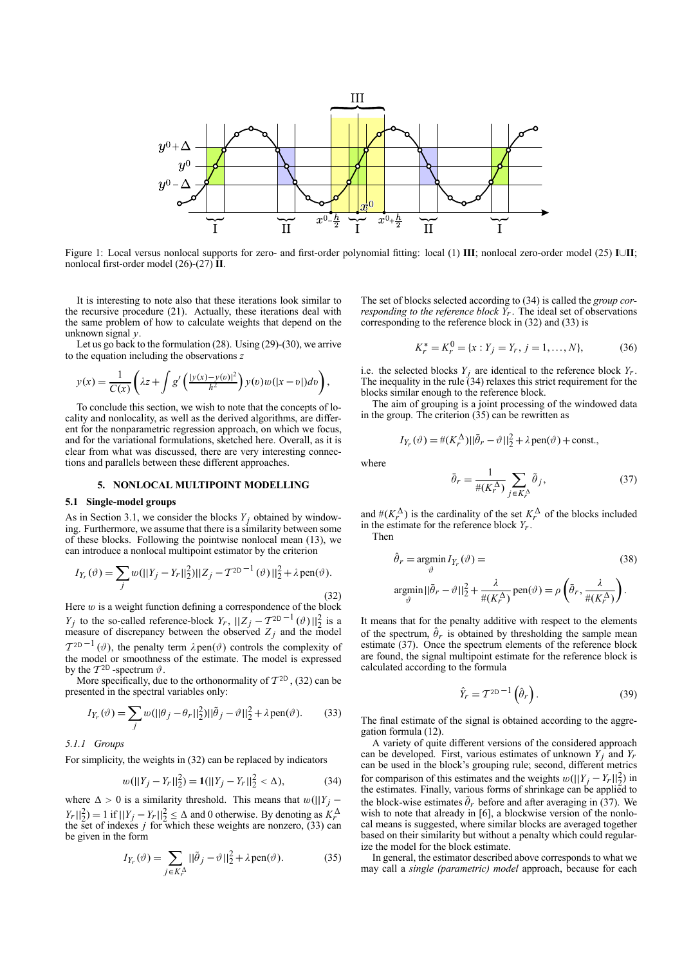

Figure 1: Local versus nonlocal supports for zero- and first-order polynomial fitting: local (1) **III**; nonlocal zero-order model (25) **<sup>I</sup>**∪**II**; nonlocal first-order model (26)-(27) **II**.

It is interesting to note also that these iterations look similar to the recursive procedure (21). Actually, these iterations deal with the same problem of how to calculate weights that depend on the unknown signal *y*.

Let us go back to the formulation (28). Using (29)-(30), we arrive to the equation including the observations *z*

$$
y(x) = \frac{1}{C(x)} \left( \lambda z + \int g' \left( \frac{|y(x) - y(v)|^2}{h^2} \right) y(v) w(|x - v|) dv \right),
$$

To conclude this section, we wish to note that the concepts of locality and nonlocality, as well as the derived algorithms, are different for the nonparametric regression approach, on which we focus, and for the variational formulations, sketched here. Overall, as it is clear from what was discussed, there are very interesting connections and parallels between these different approaches.

## **5. NONLOCAL MULTIPOINT MODELLING**

## **5.1 Single-model groups**

As in Section 3.1, we consider the blocks  $Y_i$  obtained by windowing. Furthermore, we assume that there is a similarity between some of these blocks. Following the pointwise nonlocal mean (13), we can introduce a nonlocal multipoint estimator by the criterion

$$
I_{Y_r}(\vartheta) = \sum_j w(||Y_j - Y_r||_2^2) ||Z_j - T^{2D-1}(\vartheta)||_2^2 + \lambda \operatorname{pen}(\vartheta).
$$
\n(32)

Here  $w$  is a weight function defining a correspondence of the block *Y<sub>j</sub>* to the so-called reference-block *Y<sub>r</sub>*,  $||Z_j - T^{2D-1}(\vartheta)||_2^2$  is a measure of discrepancy between the observed *Z<sub>j</sub>* and the model  $T^{2D-1}(\vartheta)$ , the penalty term  $\lambda$  pen $(\vartheta)$  controls the complexity of the model or smoothness of the estimate. The model is expressed by the  $T^{2D}$ -spectrum  $\vartheta$ .

More specifically, due to the orthonormality of  $T^{2D}$ , (32) can be presented in the spectral variables only:

$$
I_{Y_r}(\vartheta) = \sum_j w(||\theta_j - \theta_r||_2^2) ||\tilde{\theta}_j - \vartheta||_2^2 + \lambda \operatorname{pen}(\vartheta).
$$
 (33)

## *5.1.1 Groups*

For simplicity, the weights in (32) can be replaced by indicators

$$
w(||Y_j - Y_r||_2^2) = \mathbf{1}(||Y_j - Y_r||_2^2 < \Delta), \tag{34}
$$

where  $\Delta > 0$  is a similarity threshold. This means that  $w(||Y_j |Y_r||_2^2$  = 1 if  $||Y_j - Y_r||_2^2 \le \Delta$  and 0 otherwise. By denoting as  $K_r^{\Delta}$  the set of indexes *j* for which these weights are nonzero, (33) can be given in the form

$$
I_{Y_r}(\vartheta) = \sum_{j \in K_r^{\Delta}} ||\tilde{\theta}_j - \vartheta||_2^2 + \lambda \operatorname{pen}(\vartheta).
$$
 (35)

The set of blocks selected according to (34) is called the *group corresponding to the reference block*  $Y_r$ . The ideal set of observations corresponding to the reference block in (32) and (33) is

$$
K_r^* = K_r^0 = \{x : Y_j = Y_r, j = 1, ..., N\},\tag{36}
$$

i.e. the selected blocks  $Y_i$  are identical to the reference block  $Y_r$ . The inequality in the rule  $(34)$  relaxes this strict requirement for the blocks similar enough to the reference block.

The aim of grouping is a joint processing of the windowed data in the group. The criterion (35) can be rewritten as

$$
I_{Y_r}(\vartheta) = \#(K_r^{\Delta}) ||\bar{\theta}_r - \vartheta||_2^2 + \lambda \operatorname{pen}(\vartheta) + \text{const.},
$$

where

$$
\bar{\theta}_r = \frac{1}{\#(K_r^{\Delta})} \sum_{j \in K_r^{\Delta}} \tilde{\theta}_j,\tag{37}
$$

and  $\#(K_r^{\Delta})$  is the cardinality of the set  $K_r^{\Delta}$  of the blocks included in the estimate for the reference block *Yr*. Then

$$
\hat{\theta}_r = \underset{\vartheta}{\text{argmin}} \, I_{Y_r}(\vartheta) = \tag{38}
$$
\n
$$
\underset{\vartheta}{\text{argmin}} \, ||\tilde{\theta}_r - \vartheta||_2^2 + \frac{\lambda}{\#(K_r^{\Delta})} \operatorname{pen}(\vartheta) = \rho \left(\tilde{\theta}_r, \frac{\lambda}{\#(K_r^{\Delta})}\right).
$$

It means that for the penalty additive with respect to the elements of the spectrum,  $\hat{\theta}_r$  is obtained by thresholding the sample mean estimate (37). Once the spectrum elements of the reference block are found, the signal multipoint estimate for the reference block is calculated according to the formula

$$
\hat{Y}_r = T^{2D-1} \left( \hat{\theta}_r \right). \tag{39}
$$

The final estimate of the signal is obtained according to the aggregation formula (12).

A variety of quite different versions of the considered approach can be developed. First, various estimates of unknown  $Y_i$  and  $Y_r$ can be used in the block's grouping rule; second, different metrics for comparison of this estimates and the weights  $w(||Y_j - Y_r||_2^2)$  in the estimates. Finally, various forms of shrinkage can be applied to the block-wise estimates  $\tilde{\theta}_r$  before and after averaging in (37). We wish to note that already in [6], a blockwise version of the nonlocal means is suggested, where similar blocks are averaged together based on their similarity but without a penalty which could regularize the model for the block estimate.

In general, the estimator described above corresponds to what we may call a *single (parametric) model* approach, because for each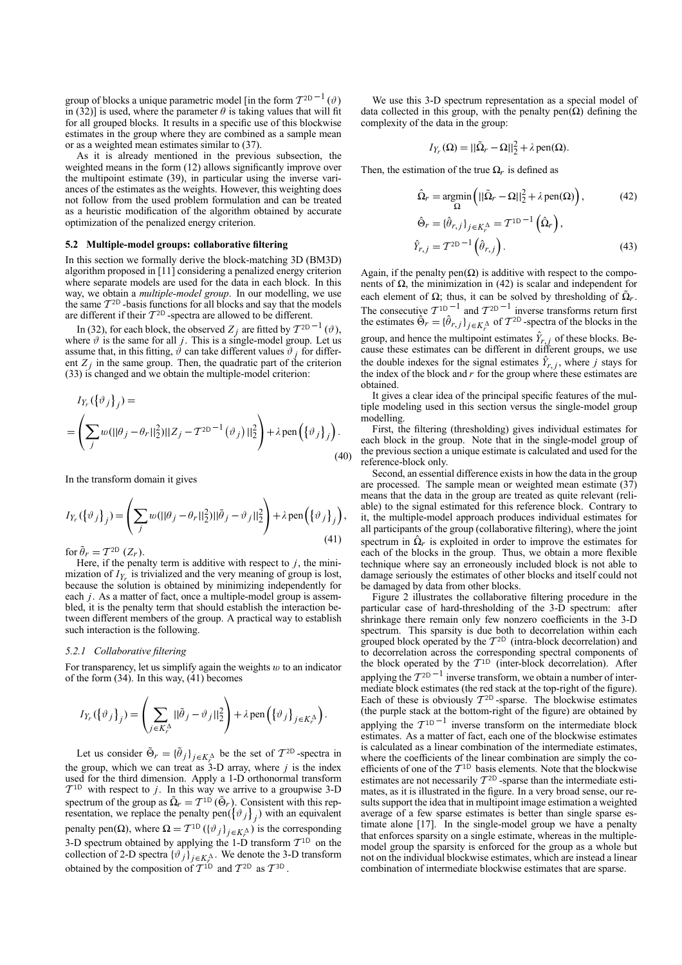group of blocks a unique parametric model [in the form  $T^{2D-1}(\vartheta)$ in (32)] is used, where the parameter  $\theta$  is taking values that will fit for all grouped blocks. It results in a specific use of this blockwise estimates in the group where they are combined as a sample mean or as a weighted mean estimates similar to (37).

As it is already mentioned in the previous subsection, the weighted means in the form (12) allows significantly improve over the multipoint estimate (39), in particular using the inverse variances of the estimates as the weights. However, this weighting does not follow from the used problem formulation and can be treated as a heuristic modification of the algorithm obtained by accurate optimization of the penalized energy criterion.

#### **5.2 Multiple-model groups: collaborative filtering**

In this section we formally derive the block-matching 3D (BM3D) algorithm proposed in [11] considering a penalized energy criterion where separate models are used for the data in each block. In this way, we obtain a *multiple-model group*. In our modelling, we use the same  $T^{2D}$  -basis functions for all blocks and say that the models are different if their  $T^{2D}$  -spectra are allowed to be different.

In (32), for each block, the observed  $Z_i$  are fitted by  $T^{2D-1}(\vartheta)$ , where  $\vartheta$  is the same for all *j*. This is a single-model group. Let us assume that, in this fitting,  $\hat{\vartheta}$  can take different values  $\hat{\vartheta}$  *j* for different  $Z_i$  in the same group. Then, the quadratic part of the criterion (33) is changed and we obtain the multiple-model criterion:

$$
I_{Y_r}(\{\vartheta_j\}_j) =
$$
  
= 
$$
\left(\sum_j w(||\theta_j - \theta_r||_2^2)||Z_j - T^{2D-1}(\vartheta_j)||_2^2\right) + \lambda \operatorname{pen}\left(\{\vartheta_j\}_j\right).
$$
  
(40)

In the transform domain it gives

$$
I_{Y_r}(\{\vartheta_j\}_j) = \left(\sum_j w(||\theta_j - \theta_r||_2^2)||\tilde{\theta}_j - \vartheta_j||_2^2\right) + \lambda \operatorname{pen}\left(\{\vartheta_j\}_j\right),\tag{41}
$$

for  $\tilde{\theta}_r = \mathcal{T}^{\text{2D}}(Z_r)$ .

Here, if the penalty term is additive with respect to *j*, the minimization of  $I_{Y_r}$  is trivialized and the very meaning of group is lost, because the solution is obtained by minimizing independently for each *j*. As a matter of fact, once a multiple-model group is assembled, it is the penalty term that should establish the interaction between different members of the group. A practical way to establish such interaction is the following.

#### *5.2.1 Collaborative filtering*

For transparency, let us simplify again the weights  $w$  to an indicator of the form (34). In this way, (41) becomes

$$
I_{Y_r}(\{\vartheta_j\}_j) = \left(\sum_{j \in K_r^{\Delta}} ||\tilde{\theta}_j - \vartheta_j||_2^2\right) + \lambda \operatorname{pen}\left(\{\vartheta_j\}_{j \in K_r^{\Delta}}\right).
$$

Let us consider  $\hat{\Theta}_r = {\hat{\theta}_j}_{j \in K_A^{\Delta}}$  be the set of  $T^{2D}$ -spectra in the group, which we can treat as 3-D array, where *j* is the index used for the third dimension. Apply a 1-D orthonormal transform  $T^{1D}$  with respect to *j*. In this way we arrive to a groupwise 3-D spectrum of the group as  $\tilde{\Omega}_r = T^{10} (\tilde{\Theta}_r)$ . Consistent with this representation, we replace the penalty pen( ${\lbrace \vartheta_j \rbrace}_j$ ) with an equivalent penalty pen( $\Omega$ ), where  $\Omega = T^{10} (\{\vartheta_j\}_{j \in K_j^{\Delta}})$  is the corresponding 3-D spectrum obtained by applying the 1-D transform  $T^{1D}$  on the collection of 2-D spectra  $\{\vartheta_j\}_{j \in K_A^{\Lambda}}$ . We denote the 3-D transform obtained by the composition of  $T^{1D}$  and  $T^{2D}$  as  $T^{3D}$ .

We use this 3-D spectrum representation as a special model of data collected in this group, with the penalty pen $(\Omega)$  defining the complexity of the data in the group:

$$
I_{Y_r}(\Omega) = ||\tilde{\Omega}_r - \Omega||_2^2 + \lambda \operatorname{pen}(\Omega).
$$

Then, the estimation of the true  $\Omega_r$  is defined as

$$
\hat{\Omega}_r = \underset{\Omega}{\text{argmin}} \left( ||\tilde{\Omega}_r - \Omega||_2^2 + \lambda \operatorname{pen}(\Omega) \right),\tag{42}
$$
\n
$$
\hat{\Theta}_r = \{ \hat{\theta}_{r,j} \}_{j \in K_r^{\Delta}} = \mathcal{T}^{10^{-1}} \left( \hat{\Omega}_r \right),\n\hat{Y}_{r,j} = \mathcal{T}^{20^{-1}} \left( \hat{\theta}_{r,j} \right).
$$
\n(43)

Again, if the penalty pen $(\Omega)$  is additive with respect to the components of  $\Omega$ , the minimization in (42) is scalar and independent for each element of  $\Omega$ ; thus, it can be solved by thresholding of  $\tilde{\Omega}_r$ . The consecutive  $T_{1D}^{-1}$  and  $T_{2D}^{-1}$  inverse transforms return first the estimates  $\Theta_r = {\{\hat{\theta}_{r,j}\}}_{j \in K_r^{\Delta}}$  of  $T^{2D}$ -spectra of the blocks in the group, and hence the multipoint estimates  $\hat{Y}_{r,j}$  of these blocks. Because these estimates can be different in different groups, we use the double indexes for the signal estimates  $\hat{Y}_{r,j}$ , where *j* stays for the index of the block and  $r$  for the group where these estimates are obtained.

It gives a clear idea of the principal specific features of the multiple modeling used in this section versus the single-model group modelling.

First, the filtering (thresholding) gives individual estimates for each block in the group. Note that in the single-model group of the previous section a unique estimate is calculated and used for the reference-block only.

Second, an essential difference exists in how the data in the group are processed. The sample mean or weighted mean estimate  $(37)$ means that the data in the group are treated as quite relevant (reliable) to the signal estimated for this reference block. Contrary to it, the multiple-model approach produces individual estimates for all participants of the group (collaborative filtering), where the joint spectrum in  $\hat{\Omega}_r$  is exploited in order to improve the estimates for each of the blocks in the group. Thus, we obtain a more flexible technique where say an erroneously included block is not able to damage seriously the estimates of other blocks and itself could not be damaged by data from other blocks.

Figure 2 illustrates the collaborative filtering procedure in the particular case of hard-thresholding of the 3-D spectrum: after shrinkage there remain only few nonzero coefficients in the 3-D spectrum. This sparsity is due both to decorrelation within each grouped block operated by the  $T^{2D}$  (intra-block decorrelation) and to decorrelation across the corresponding spectral components of the block operated by the  $T^{1D}$  (inter-block decorrelation). After applying the  $T^{2D}$ <sup>-1</sup> inverse transform, we obtain a number of intermediate block estimates (the red stack at the top-right of the figure). Each of these is obviously  $T^{2D}$ -sparse. The blockwise estimates (the purple stack at the bottom-right of the figure) are obtained by applying the  $T^{1D}$ <sup>-1</sup> inverse transform on the intermediate block estimates. As a matter of fact, each one of the blockwise estimates is calculated as a linear combination of the intermediate estimates, where the coefficients of the linear combination are simply the coefficients of one of the  $T^{1D}$  basis elements. Note that the blockwise estimates are not necessarily  $T^{2D}$ -sparse than the intermediate estimates, as it is illustrated in the figure. In a very broad sense, our results support the idea that in multipoint image estimation a weighted average of a few sparse estimates is better than single sparse estimate alone  $[17]$ . In the single-model group we have a penalty that enforces sparsity on a single estimate, whereas in the multiplemodel group the sparsity is enforced for the group as a whole but not on the individual blockwise estimates, which are instead a linear combination of intermediate blockwise estimates that are sparse.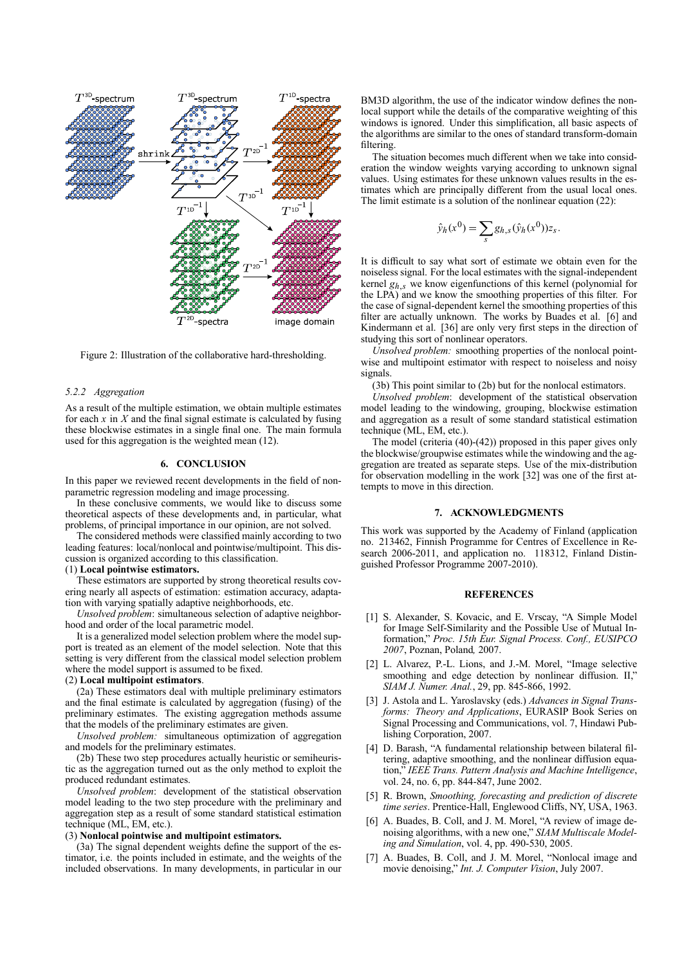

Figure 2: Illustration of the collaborative hard-thresholding.

#### *5.2.2 Aggregation*

As a result of the multiple estimation, we obtain multiple estimates for each  $x$  in  $X$  and the final signal estimate is calculated by fusing these blockwise estimates in a single final one. The main formula used for this aggregation is the weighted mean (12).

## **6. CONCLUSION**

In this paper we reviewed recent developments in the field of nonparametric regression modeling and image processing.

In these conclusive comments, we would like to discuss some theoretical aspects of these developments and, in particular, what problems, of principal importance in our opinion, are not solved.

The considered methods were classified mainly according to two leading features: local/nonlocal and pointwise/multipoint. This discussion is organized according to this classification.

## (1) **Local pointwise estimators.**

These estimators are supported by strong theoretical results covering nearly all aspects of estimation: estimation accuracy, adaptation with varying spatially adaptive neighborhoods, etc.

*Unsolved problem*: simultaneous selection of adaptive neighborhood and order of the local parametric model.

It is a generalized model selection problem where the model support is treated as an element of the model selection. Note that this setting is very different from the classical model selection problem where the model support is assumed to be fixed.

#### (2) **Local multipoint estimators**.

(2a) These estimators deal with multiple preliminary estimators and the final estimate is calculated by aggregation (fusing) of the preliminary estimates. The existing aggregation methods assume that the models of the preliminary estimates are given.

*Unsolved problem:* simultaneous optimization of aggregation and models for the preliminary estimates.

(2b) These two step procedures actually heuristic or semiheuristic as the aggregation turned out as the only method to exploit the produced redundant estimates.

*Unsolved problem*: development of the statistical observation model leading to the two step procedure with the preliminary and aggregation step as a result of some standard statistical estimation technique (ML, EM, etc.).

### (3) **Nonlocal pointwise and multipoint estimators.**

(3a) The signal dependent weights define the support of the estimator, i.e. the points included in estimate, and the weights of the included observations. In many developments, in particular in our BM3D algorithm, the use of the indicator window defines the nonlocal support while the details of the comparative weighting of this windows is ignored. Under this simplification, all basic aspects of the algorithms are similar to the ones of standard transform-domain filtering.

The situation becomes much different when we take into consideration the window weights varying according to unknown signal values. Using estimates for these unknown values results in the estimates which are principally different from the usual local ones. The limit estimate is a solution of the nonlinear equation (22):

$$
\hat{y}_h(x^0) = \sum_s g_{h,s}(\hat{y}_h(x^0))z_s.
$$

It is difficult to say what sort of estimate we obtain even for the noiseless signal. For the local estimates with the signal-independent kernel  $g_{h,s}$  we know eigenfunctions of this kernel (polynomial for the LPA) and we know the smoothing properties of this filter. For the case of signal-dependent kernel the smoothing properties of this filter are actually unknown. The works by Buades et al. [6] and Kindermann et al. [36] are only very first steps in the direction of studying this sort of nonlinear operators.

*Unsolved problem:* smoothing properties of the nonlocal pointwise and multipoint estimator with respect to noiseless and noisy signals.

(3b) This point similar to (2b) but for the nonlocal estimators.

*Unsolved problem*: development of the statistical observation model leading to the windowing, grouping, blockwise estimation and aggregation as a result of some standard statistical estimation technique (ML, EM, etc.).

The model (criteria (40)-(42)) proposed in this paper gives only the blockwise/groupwise estimates while the windowing and the aggregation are treated as separate steps. Use of the mix-distribution for observation modelling in the work [32] was one of the first attempts to move in this direction.

## **7. ACKNOWLEDGMENTS**

This work was supported by the Academy of Finland (application no. 213462, Finnish Programme for Centres of Excellence in Research 2006-2011, and application no. 118312, Finland Distinguished Professor Programme 2007-2010).

## **REFERENCES**

- [1] S. Alexander, S. Kovacic, and E. Vrscay, "A Simple Model for Image Self-Similarity and the Possible Use of Mutual Information,î *Proc. 15th Eur. Signal Process. Conf., EUSIPCO 2007*, Poznan, Poland*,* 2007.
- [2] L. Alvarez, P.-L. Lions, and J.-M. Morel, "Image selective smoothing and edge detection by nonlinear diffusion. II, *SIAM J. Numer. Anal.*, 29, pp. 845-866, 1992.
- [3] J. Astola and L. Yaroslavsky (eds.) *Advances in Signal Transforms: Theory and Applications*, EURASIP Book Series on Signal Processing and Communications, vol. 7, Hindawi Publishing Corporation, 2007.
- [4] D. Barash, "A fundamental relationship between bilateral filtering, adaptive smoothing, and the nonlinear diffusion equation," IEEE Trans. Pattern Analysis and Machine Intelligence, vol. 24, no. 6, pp. 844-847, June 2002.
- [5] R. Brown, *Smoothing, forecasting and prediction of discrete time series*. Prentice-Hall, Englewood Cliffs, NY, USA, 1963.
- [6] A. Buades, B. Coll, and J. M. Morel, "A review of image denoising algorithms, with a new one," SIAM Multiscale Model*ing and Simulation*, vol. 4, pp. 490-530, 2005.
- [7] A. Buades, B. Coll, and J. M. Morel, "Nonlocal image and movie denoising," *Int. J. Computer Vision*, July 2007.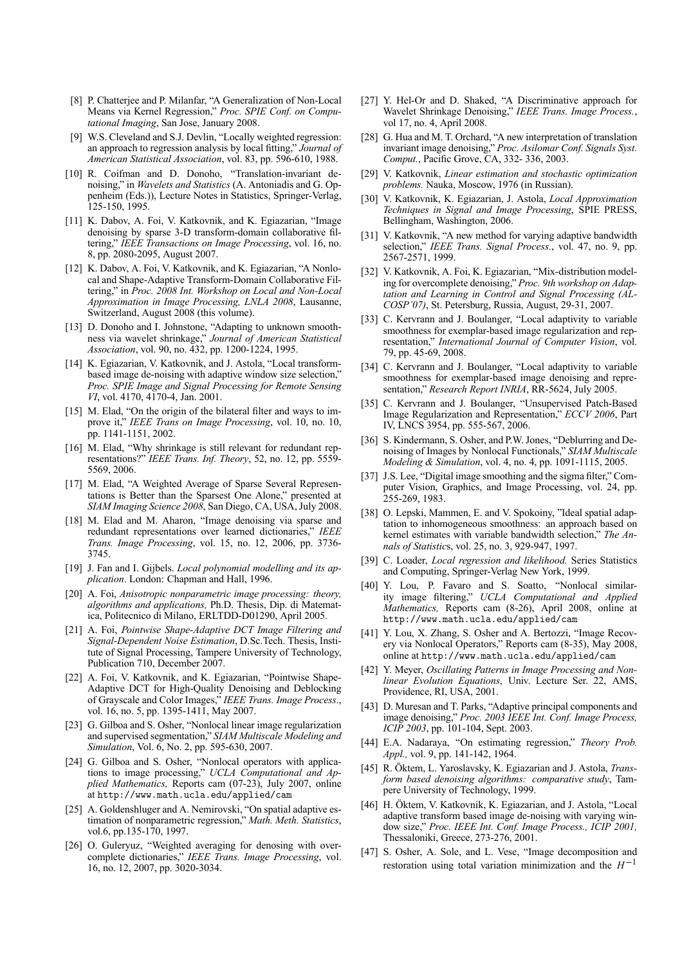- [8] P. Chatterjee and P. Milanfar, "A Generalization of Non-Local Means via Kernel Regression," Proc. SPIE Conf. on Compu*tational Imaging*, San Jose, January 2008.
- [9] W.S. Cleveland and S.J. Devlin, "Locally weighted regression: an approach to regression analysis by local fitting," *Journal of American Statistical Association*, vol. 83, pp. 596-610, 1988.
- [10] R. Coifman and D. Donoho, "Translation-invariant denoising," in *Wavelets and Statistics* (A. Antoniadis and G. Oppenheim (Eds.)), Lecture Notes in Statistics, Springer-Verlag, 125-150, 1995.
- [11] K. Dabov, A. Foi, V. Katkovnik, and K. Egiazarian, "Image denoising by sparse 3-D transform-domain collaborative filtering," *IEEE Transactions on Image Processing*, vol. 16, no. 8, pp. 2080-2095, August 2007.
- [12] K. Dabov, A. Foi, V. Katkovnik, and K. Egiazarian, "A Nonlocal and Shape-Adaptive Transform-Domain Collaborative Filtering," in *Proc. 2008 Int. Workshop on Local and Non-Local Approximation in Image Processing, LNLA 2008*, Lausanne, Switzerland, August 2008 (this volume).
- [13] D. Donoho and I. Johnstone, "Adapting to unknown smoothness via wavelet shrinkage," Journal of American Statistical *Association*, vol. 90, no. 432, pp. 1200-1224, 1995.
- [14] K. Egiazarian, V. Katkovnik, and J. Astola, "Local transformbased image de-noising with adaptive window size selection," *Proc. SPIE Image and Signal Processing for Remote Sensing VI*, vol. 4170, 4170-4, Jan. 2001.
- $[15]$  M. Elad, "On the origin of the bilateral filter and ways to improve it," *IEEE Trans on Image Processing*, vol. 10, no. 10, pp. 1141-1151, 2002.
- [16] M. Elad, "Why shrinkage is still relevant for redundant representations?î *IEEE Trans. Inf. Theory*, 52, no. 12, pp. 5559- 5569, 2006.
- [17] M. Elad, "A Weighted Average of Sparse Several Representations is Better than the Sparsest One Alone," presented at *SIAM Imaging Science 2008*, San Diego, CA, USA, July 2008.
- [18] M. Elad and M. Aharon, "Image denoising via sparse and redundant representations over learned dictionaries," IEEE *Trans. Image Processing*, vol. 15, no. 12, 2006, pp. 3736- 3745.
- [19] J. Fan and I. Gijbels. *Local polynomial modelling and its application*. London: Chapman and Hall, 1996.
- [20] A. Foi, *Anisotropic nonparametric image processing: theory, algorithms and applications,* Ph.D. Thesis, Dip. di Matematica, Politecnico di Milano, ERLTDD-D01290, April 2005.
- [21] A. Foi, *Pointwise Shape-Adaptive DCT Image Filtering and Signal-Dependent Noise Estimation*, D.Sc.Tech. Thesis, Institute of Signal Processing, Tampere University of Technology, Publication 710, December 2007.
- [22] A. Foi, V. Katkovnik, and K. Egiazarian, "Pointwise Shape-Adaptive DCT for High-Quality Denoising and Deblocking of Grayscale and Color Images," IEEE Trans. Image Process., vol. 16, no. 5, pp. 1395-1411, May 2007.
- [23] G. Gilboa and S. Osher, "Nonlocal linear image regularization and supervised segmentation," *SIAM Multiscale Modeling and Simulation*, Vol. 6, No. 2, pp. 595-630, 2007.
- [24] G. Gilboa and S. Osher, "Nonlocal operators with applications to image processing," *UCLA Computational and Applied Mathematics,* Reports cam (07-23), July 2007, online at http://www.math.ucla.edu/applied/cam
- [25] A. Goldenshluger and A. Nemirovski, "On spatial adaptive estimation of nonparametric regression," Math. Meth. Statistics, vol.6, pp.135-170, 1997.
- [26] O. Guleryuz, "Weighted averaging for denosing with overcomplete dictionaries," IEEE Trans. Image Processing, vol. 16, no. 12, 2007, pp. 3020-3034.
- [27] Y. Hel-Or and D. Shaked, "A Discriminative approach for Wavelet Shrinkage Denoising,î *IEEE Trans. Image Process.*, vol 17, no. 4, April 2008.
- [28] G. Hua and M. T. Orchard, "A new interpretation of translation invariant image denoising,î *Proc. Asilomar Conf. Signals Syst. Comput.*, Pacific Grove, CA, 332- 336, 2003.
- [29] V. Katkovnik, *Linear estimation and stochastic optimization problems.* Nauka, Moscow, 1976 (in Russian).
- [30] V. Katkovnik, K. Egiazarian, J. Astola, *Local Approximation Techniques in Signal and Image Processing*, SPIE PRESS, Bellingham, Washington, 2006.
- [31] V. Katkovnik, "A new method for varying adaptive bandwidth selection," *IEEE Trans. Signal Process.*, vol. 47, no. 9, pp. 2567-2571, 1999.
- [32] V. Katkovnik, A. Foi, K. Egiazarian, "Mix-distribution modeling for overcomplete denoising," Proc. 9th workshop on Adap*tation and Learning in Control and Signal Processing (AL-COSPí07)*, St. Petersburg, Russia, August, 29-31, 2007.
- [33] C. Kervrann and J. Boulanger, "Local adaptivity to variable smoothness for exemplar-based image regularization and representation," *International Journal of Computer Vision*, vol. 79, pp. 45-69, 2008.
- [34] C. Kervrann and J. Boulanger, "Local adaptivity to variable smoothness for exemplar-based image denoising and representation," *Research Report INRIA*, RR-5624, July 2005.
- [35] C. Kervrann and J. Boulanger, "Unsupervised Patch-Based Image Regularization and Representation," *ECCV 2006*, Part IV, LNCS 3954, pp. 555-567, 2006.
- [36] S. Kindermann, S. Osher, and P.W. Jones, "Deblurring and Denoising of Images by Nonlocal Functionals," *SIAM Multiscale Modeling & Simulation*, vol. 4, no. 4, pp. 1091-1115, 2005.
- [37] J.S. Lee, "Digital image smoothing and the sigma filter," Computer Vision, Graphics, and Image Processing, vol. 24, pp. 255-269, 1983.
- [38] O. Lepski, Mammen, E. and V. Spokoiny, "Ideal spatial adaptation to inhomogeneous smoothness: an approach based on kernel estimates with variable bandwidth selection," The An*nals of Statistic*s, vol. 25, no. 3, 929-947, 1997.
- [39] C. Loader, *Local regression and likelihood.* Series Statistics and Computing, Springer-Verlag New York, 1999.
- [40] Y. Lou, P. Favaro and S. Soatto, "Nonlocal similarity image filtering," UCLA Computational and Applied *Mathematics,* Reports cam (8-26), April 2008, online at http://www.math.ucla.edu/applied/cam
- [41] Y. Lou, X. Zhang, S. Osher and A. Bertozzi, "Image Recovery via Nonlocal Operators," Reports cam (8-35), May 2008, online at http://www.math.ucla.edu/applied/cam
- [42] Y. Meyer, *Oscillating Patterns in Image Processing and Nonlinear Evolution Equations*, Univ. Lecture Ser. 22, AMS, Providence, RI, USA, 2001.
- [43] D. Muresan and T. Parks, "Adaptive principal components and image denoising,î *Proc. 2003 IEEE Int. Conf. Image Process, ICIP 2003*, pp. 101-104, Sept. 2003.
- [44] E.A. Nadaraya, "On estimating regression," *Theory Prob. Appl.,* vol. 9, pp. 141-142, 1964.
- [45] R. Öktem, L. Yaroslavsky, K. Egiazarian and J. Astola, *Transform based denoising algorithms: comparative study*, Tampere University of Technology, 1999.
- [46] H. Öktem, V. Katkovnik, K. Egiazarian, and J. Astola, "Local adaptive transform based image de-noising with varying window size,î *Proc. IEEE Int. Conf. Image Process., ICIP 2001,* Thessaloniki, Greece, 273-276, 2001.
- [47] S. Osher, A. Sole, and L. Vese, "Image decomposition and restoration using total variation minimization and the *H*−<sup>1</sup>